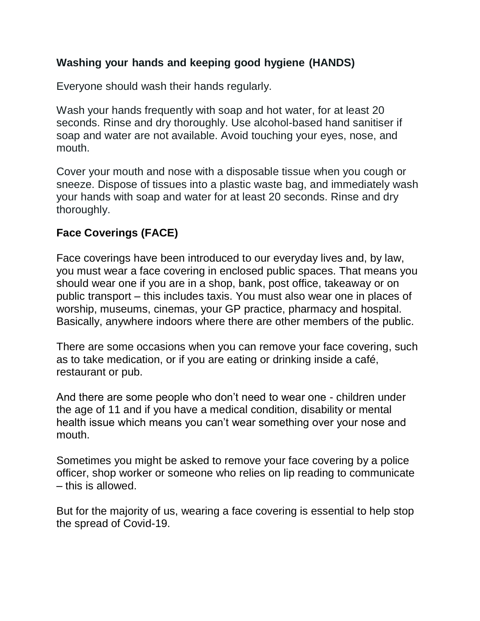### **Washing your hands and keeping good hygiene (HANDS)**

Everyone should wash their hands regularly.

Wash your hands frequently with soap and hot water, for at least 20 seconds. Rinse and dry thoroughly. Use alcohol-based hand sanitiser if soap and water are not available. Avoid touching your eyes, nose, and mouth.

Cover your mouth and nose with a disposable tissue when you cough or sneeze. Dispose of tissues into a plastic waste bag, and immediately wash your hands with soap and water for at least 20 seconds. Rinse and dry thoroughly.

# **Face Coverings (FACE)**

Face coverings have been introduced to our everyday lives and, by law, you must wear a face covering in enclosed public spaces. That means you should wear one if you are in a shop, bank, post office, takeaway or on public transport – this includes taxis. You must also wear one in places of worship, museums, cinemas, your GP practice, pharmacy and hospital. Basically, anywhere indoors where there are other members of the public.

There are some occasions when you can remove your face covering, such as to take medication, or if you are eating or drinking inside a café, restaurant or pub.

And there are some people who don't need to wear one - children under the age of 11 and if you have a medical condition, disability or mental health issue which means you can't wear something over your nose and mouth.

Sometimes you might be asked to remove your face covering by a police officer, shop worker or someone who relies on lip reading to communicate – this is allowed.

But for the majority of us, wearing a face covering is essential to help stop the spread of Covid-19.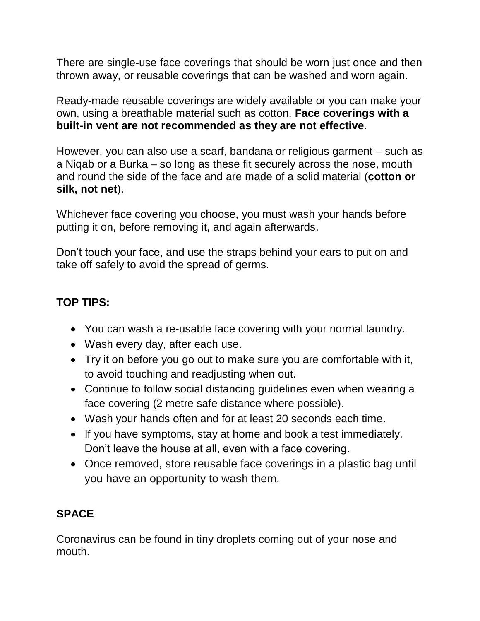There are single-use face coverings that should be worn just once and then thrown away, or reusable coverings that can be washed and worn again.

Ready-made reusable coverings are widely available or you can make your own, using a breathable material such as cotton. **Face coverings with a built-in vent are not recommended as they are not effective.**

However, you can also use a scarf, bandana or religious garment – such as a Niqab or a Burka – so long as these fit securely across the nose, mouth and round the side of the face and are made of a solid material (**cotton or silk, not net**).

Whichever face covering you choose, you must wash your hands before putting it on, before removing it, and again afterwards.

Don't touch your face, and use the straps behind your ears to put on and take off safely to avoid the spread of germs.

## **TOP TIPS:**

- You can wash a re-usable face covering with your normal laundry.
- Wash every day, after each use.
- Try it on before you go out to make sure you are comfortable with it, to avoid touching and readjusting when out.
- Continue to follow social distancing guidelines even when wearing a face covering (2 metre safe distance where possible).
- Wash your hands often and for at least 20 seconds each time.
- If you have symptoms, stay at home and book a test immediately. Don't leave the house at all, even with a face covering.
- Once removed, store reusable face coverings in a plastic bag until you have an opportunity to wash them.

# **SPACE**

Coronavirus can be found in tiny droplets coming out of your nose and mouth.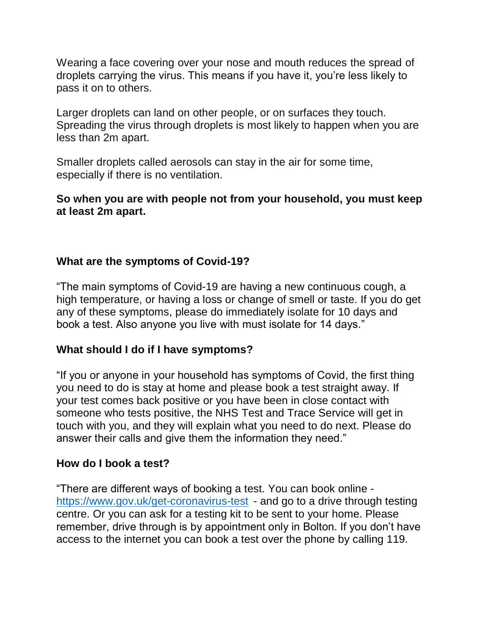Wearing a face covering over your nose and mouth reduces the spread of droplets carrying the virus. This means if you have it, you're less likely to pass it on to others.

Larger droplets can land on other people, or on surfaces they touch. Spreading the virus through droplets is most likely to happen when you are less than 2m apart.

Smaller droplets called aerosols can stay in the air for some time, especially if there is no ventilation.

#### **So when you are with people not from your household, you must keep at least 2m apart.**

### **What are the symptoms of Covid-19?**

"The main symptoms of Covid-19 are having a new continuous cough, a high temperature, or having a loss or change of smell or taste. If you do get any of these symptoms, please do immediately isolate for 10 days and book a test. Also anyone you live with must isolate for 14 days."

#### **What should I do if I have symptoms?**

"If you or anyone in your household has symptoms of Covid, the first thing you need to do is stay at home and please book a test straight away. If your test comes back positive or you have been in close contact with someone who tests positive, the NHS Test and Trace Service will get in touch with you, and they will explain what you need to do next. Please do answer their calls and give them the information they need."

#### **How do I book a test?**

"There are different ways of booking a test. You can book online <https://www.gov.uk/get-coronavirus-test> - and go to a drive through testing centre. Or you can ask for a testing kit to be sent to your home. Please remember, drive through is by appointment only in Bolton. If you don't have access to the internet you can book a test over the phone by calling 119.